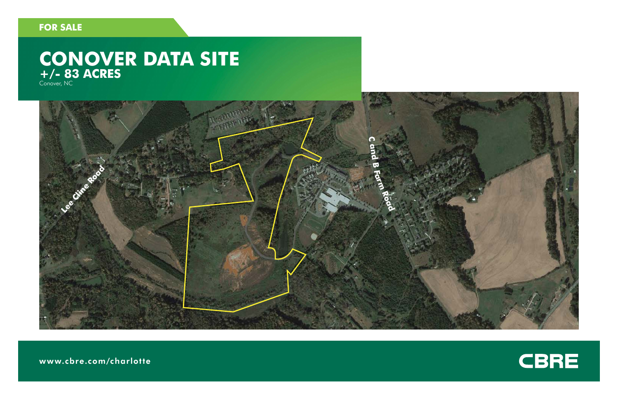### **FOR SALE**

# CONOVER DATA SITE



www.cbre.com/charlotte

## CBRE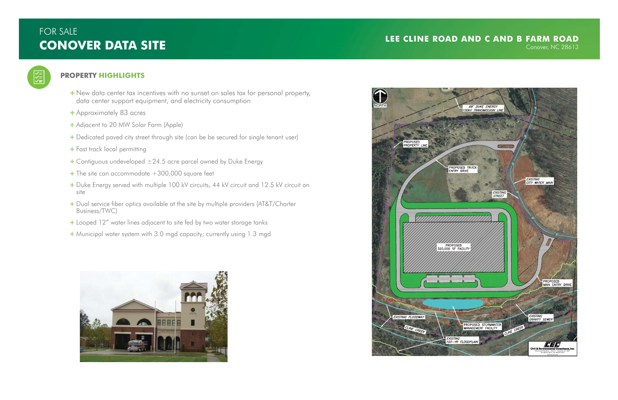## FOR SALE **CONOVER DATA SITE**

#### **PROPERTY HIGHLIGHTS**

 $\sqrt{\frac{1}{n} \sqrt{1}}$ 

- + New data center tax incentives with no sunset on sales tax for personal property, data center support equipment, and electricity consumption
- + Approximately 83 acres
- + Adjacent to 20 MW Solar Farm (Apple)
- + Dedicated paved city street through site (can be be secured for single tenant user)
- + Fast track local permitting
- $+$  Contiguous undeveloped  $\pm 24.5$  acre parcel owned by Duke Energy
- $+$  The site can accommodate  $+300,000$  square feet
- + Duke Energy served with multiple 100 kV circuits, 44 kV circuit and 12.5 kV circuit on site
- + Dual service fiber optics available at the site by multiple providers (AT&T/Charter Business/TWC)
- + Looped 12" water lines adjacent to site fed by two water storage tanks
- + Municipal water system with 3.0 mgd capacity; currently using 1.3 mgd



#### **LEE CLINE ROAD AND C AND B FARM ROAD**Conover, NC 28613